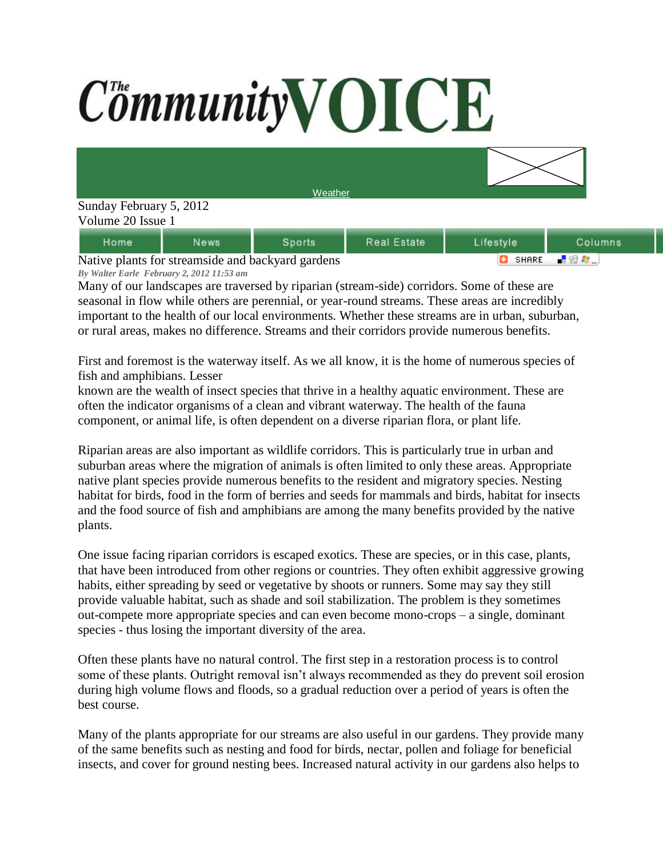## CommunityVOICE



| dome                                              | News |  | Real Estate |              | tolumns |
|---------------------------------------------------|------|--|-------------|--------------|---------|
| Native plants for streamside and backward gardens |      |  |             | <b>SHARE</b> |         |

Native plants for streamside and backyard gardens *By Walter Earle February 2, 2012 11:53 am*

Many of our landscapes are traversed by riparian (stream-side) corridors. Some of these are seasonal in flow while others are perennial, or year-round streams. These areas are incredibly important to the health of our local environments. Whether these streams are in urban, suburban, or rural areas, makes no difference. Streams and their corridors provide numerous benefits.

First and foremost is the waterway itself. As we all know, it is the home of numerous species of fish and amphibians. Lesser

known are the wealth of insect species that thrive in a healthy aquatic environment. These are often the indicator organisms of a clean and vibrant waterway. The health of the fauna component, or animal life, is often dependent on a diverse riparian flora, or plant life.

Riparian areas are also important as wildlife corridors. This is particularly true in urban and suburban areas where the migration of animals is often limited to only these areas. Appropriate native plant species provide numerous benefits to the resident and migratory species. Nesting habitat for birds, food in the form of berries and seeds for mammals and birds, habitat for insects and the food source of fish and amphibians are among the many benefits provided by the native plants.

One issue facing riparian corridors is escaped exotics. These are species, or in this case, plants, that have been introduced from other regions or countries. They often exhibit aggressive growing habits, either spreading by seed or vegetative by shoots or runners. Some may say they still provide valuable habitat, such as shade and soil stabilization. The problem is they sometimes out-compete more appropriate species and can even become mono-crops – a single, dominant species - thus losing the important diversity of the area.

Often these plants have no natural control. The first step in a restoration process is to control some of these plants. Outright removal isn't always recommended as they do prevent soil erosion during high volume flows and floods, so a gradual reduction over a period of years is often the best course.

Many of the plants appropriate for our streams are also useful in our gardens. They provide many of the same benefits such as nesting and food for birds, nectar, pollen and foliage for beneficial insects, and cover for ground nesting bees. Increased natural activity in our gardens also helps to